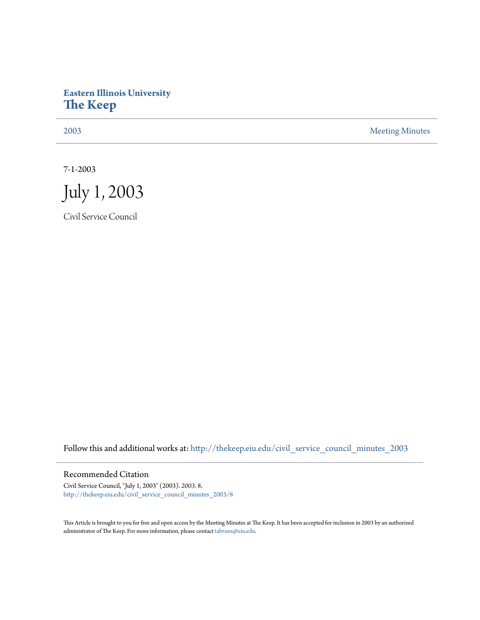## **Eastern Illinois University [The Keep](http://thekeep.eiu.edu?utm_source=thekeep.eiu.edu%2Fcivil_service_council_minutes_2003%2F8&utm_medium=PDF&utm_campaign=PDFCoverPages)**

[2003](http://thekeep.eiu.edu/civil_service_council_minutes_2003?utm_source=thekeep.eiu.edu%2Fcivil_service_council_minutes_2003%2F8&utm_medium=PDF&utm_campaign=PDFCoverPages) [Meeting Minutes](http://thekeep.eiu.edu/civil_service_council_minutes?utm_source=thekeep.eiu.edu%2Fcivil_service_council_minutes_2003%2F8&utm_medium=PDF&utm_campaign=PDFCoverPages)

7-1-2003



Civil Service Council

Follow this and additional works at: [http://thekeep.eiu.edu/civil\\_service\\_council\\_minutes\\_2003](http://thekeep.eiu.edu/civil_service_council_minutes_2003?utm_source=thekeep.eiu.edu%2Fcivil_service_council_minutes_2003%2F8&utm_medium=PDF&utm_campaign=PDFCoverPages)

## Recommended Citation

Civil Service Council, "July 1, 2003" (2003). *2003*. 8. [http://thekeep.eiu.edu/civil\\_service\\_council\\_minutes\\_2003/8](http://thekeep.eiu.edu/civil_service_council_minutes_2003/8?utm_source=thekeep.eiu.edu%2Fcivil_service_council_minutes_2003%2F8&utm_medium=PDF&utm_campaign=PDFCoverPages)

This Article is brought to you for free and open access by the Meeting Minutes at The Keep. It has been accepted for inclusion in 2003 by an authorized administrator of The Keep. For more information, please contact [tabruns@eiu.edu.](mailto:tabruns@eiu.edu)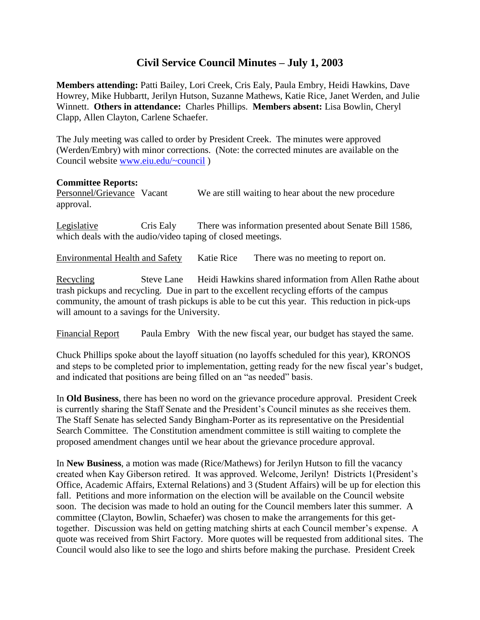## **Civil Service Council Minutes – July 1, 2003**

**Members attending:** Patti Bailey, Lori Creek, Cris Ealy, Paula Embry, Heidi Hawkins, Dave Howrey, Mike Hubbartt, Jerilyn Hutson, Suzanne Mathews, Katie Rice, Janet Werden, and Julie Winnett. **Others in attendance:** Charles Phillips. **Members absent:** Lisa Bowlin, Cheryl Clapp, Allen Clayton, Carlene Schaefer.

The July meeting was called to order by President Creek. The minutes were approved (Werden/Embry) with minor corrections. (Note: the corrected minutes are available on the Council website [www.eiu.edu/~council](http://www.eiu.edu/~council) )

## **Committee Reports:**

Personnel/Grievance Vacant We are still waiting to hear about the new procedure approval.

Legislative Cris Ealy There was information presented about Senate Bill 1586, which deals with the audio/video taping of closed meetings.

Environmental Health and Safety Katie Rice There was no meeting to report on.

Recycling Steve Lane Heidi Hawkins shared information from Allen Rathe about trash pickups and recycling. Due in part to the excellent recycling efforts of the campus community, the amount of trash pickups is able to be cut this year. This reduction in pick-ups will amount to a savings for the University.

Financial Report Paula Embry With the new fiscal year, our budget has stayed the same.

Chuck Phillips spoke about the layoff situation (no layoffs scheduled for this year), KRONOS and steps to be completed prior to implementation, getting ready for the new fiscal year's budget, and indicated that positions are being filled on an "as needed" basis.

In **Old Business**, there has been no word on the grievance procedure approval. President Creek is currently sharing the Staff Senate and the President's Council minutes as she receives them. The Staff Senate has selected Sandy Bingham-Porter as its representative on the Presidential Search Committee. The Constitution amendment committee is still waiting to complete the proposed amendment changes until we hear about the grievance procedure approval.

In **New Business**, a motion was made (Rice/Mathews) for Jerilyn Hutson to fill the vacancy created when Kay Giberson retired. It was approved. Welcome, Jerilyn! Districts 1(President's Office, Academic Affairs, External Relations) and 3 (Student Affairs) will be up for election this fall. Petitions and more information on the election will be available on the Council website soon. The decision was made to hold an outing for the Council members later this summer. A committee (Clayton, Bowlin, Schaefer) was chosen to make the arrangements for this gettogether. Discussion was held on getting matching shirts at each Council member's expense. A quote was received from Shirt Factory. More quotes will be requested from additional sites. The Council would also like to see the logo and shirts before making the purchase. President Creek